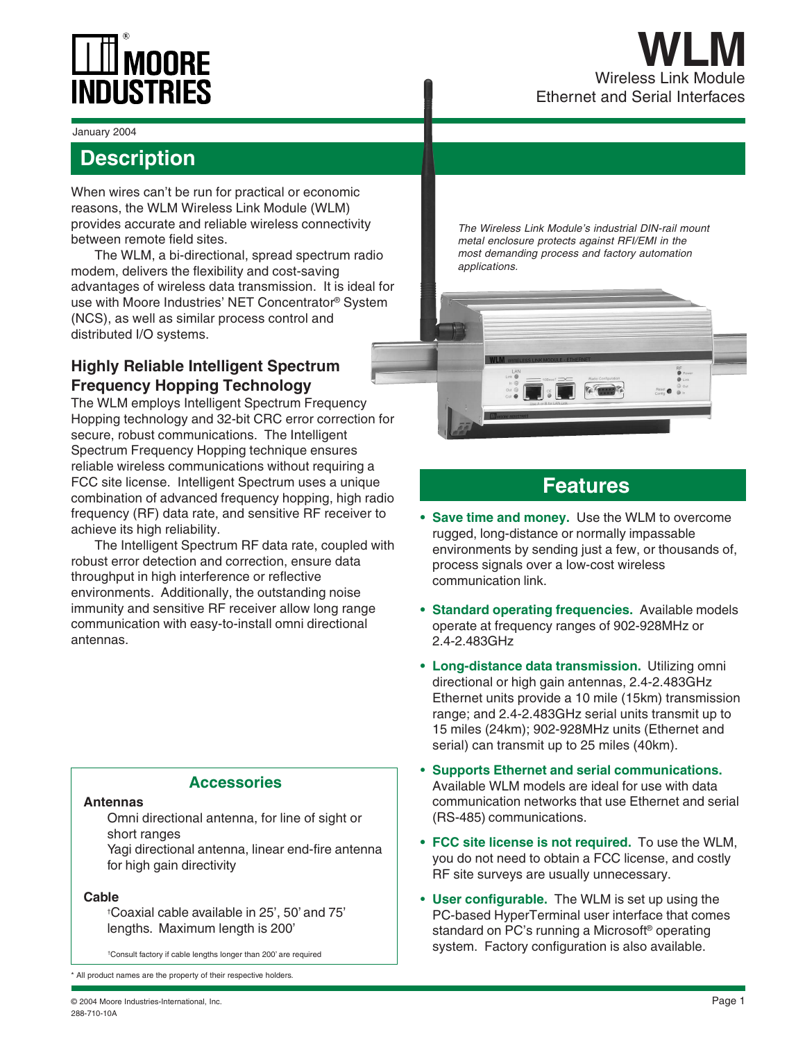

#### January 2004

## **Description**

When wires can't be run for practical or economic reasons, the WLM Wireless Link Module (WLM) provides accurate and reliable wireless connectivity between remote field sites.

The WLM, a bi-directional, spread spectrum radio modem, delivers the flexibility and cost-saving advantages of wireless data transmission. It is ideal for use with Moore Industries' NET Concentrator® System (NCS), as well as similar process control and distributed I/O systems.

## **Highly Reliable Intelligent Spectrum Frequency Hopping Technology**

The WLM employs Intelligent Spectrum Frequency Hopping technology and 32-bit CRC error correction for secure, robust communications. The Intelligent Spectrum Frequency Hopping technique ensures reliable wireless communications without requiring a FCC site license. Intelligent Spectrum uses a unique combination of advanced frequency hopping, high radio frequency (RF) data rate, and sensitive RF receiver to achieve its high reliability.

The Intelligent Spectrum RF data rate, coupled with robust error detection and correction, ensure data throughput in high interference or reflective environments. Additionally, the outstanding noise immunity and sensitive RF receiver allow long range communication with easy-to-install omni directional antennas.

### **Accessories**

### **Antennas**

Omni directional antenna, for line of sight or short ranges

Yagi directional antenna, linear end-fire antenna for high gain directivity

## **Cable**

†Coaxial cable available in 25', 50' and 75' lengths. Maximum length is 200'

† Consult factory if cable lengths longer than 200' are required

\* All product names are the property of their respective holders.

The Wireless Link Module's industrial DIN-rail mount metal enclosure protects against RFI/EMI in the most demanding process and factory automation applications.



## **Features**

- **Save time and money.** Use the WLM to overcome rugged, long-distance or normally impassable environments by sending just a few, or thousands of, process signals over a low-cost wireless communication link.
- **Standard operating frequencies.** Available models operate at frequency ranges of 902-928MHz or 2.4-2.483GHz
- **Long-distance data transmission.** Utilizing omni directional or high gain antennas, 2.4-2.483GHz Ethernet units provide a 10 mile (15km) transmission range; and 2.4-2.483GHz serial units transmit up to 15 miles (24km); 902-928MHz units (Ethernet and serial) can transmit up to 25 miles (40km).
- **Supports Ethernet and serial communications.** Available WLM models are ideal for use with data communication networks that use Ethernet and serial (RS-485) communications.
- **FCC site license is not required.** To use the WLM, you do not need to obtain a FCC license, and costly RF site surveys are usually unnecessary.
- **User configurable.** The WLM is set up using the PC-based HyperTerminal user interface that comes standard on PC's running a Microsoft® operating system. Factory configuration is also available.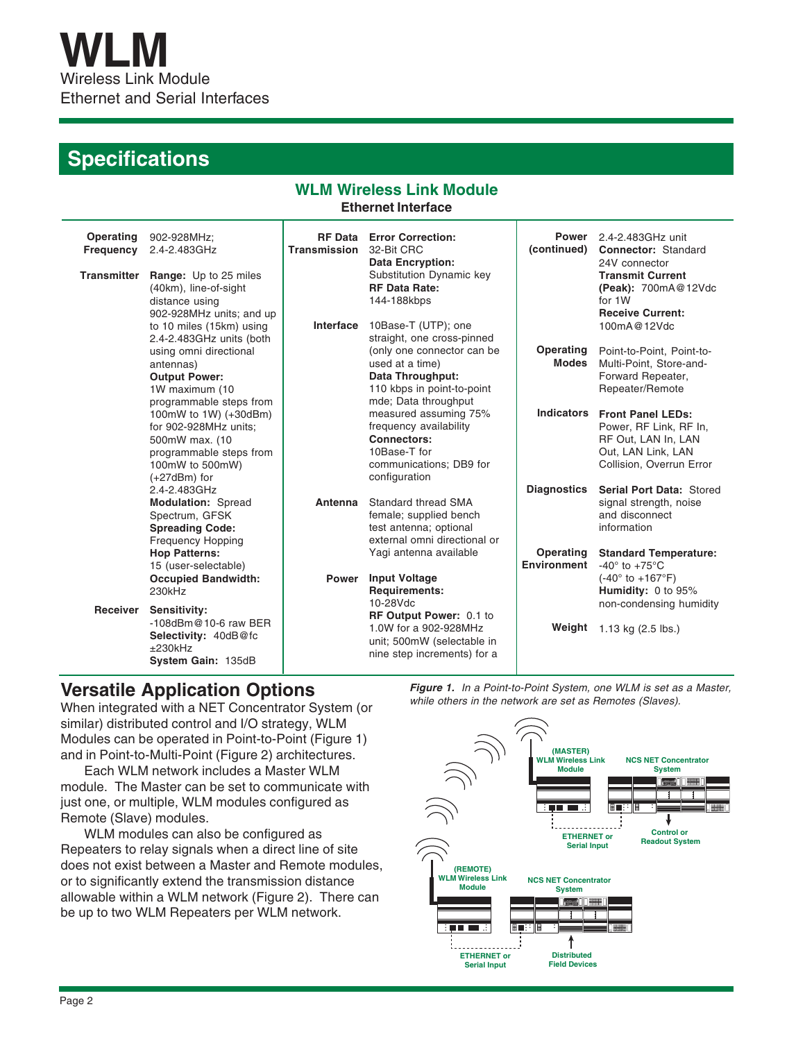# **Specifications**

## **WLM Wireless Link Module Ethernet Interface**

| Operating<br><b>Frequency</b><br><b>Transmitter</b> | 902-928MHz;<br>2.4-2.483GHz<br>Range: Up to 25 miles<br>(40km), line-of-sight<br>distance using<br>902-928MHz units; and up<br>to 10 miles (15km) using | <b>RF Data</b><br><b>Transmission</b><br>Interface | <b>Error Correction:</b><br>32-Bit CRC<br><b>Data Encryption:</b><br>Substitution Dynamic key<br><b>RF Data Rate:</b><br>144-188kbps<br>10Base-T (UTP); one  | (continued)                     | <b>Power</b> 2.4-2.483GHz unit<br><b>Connector: Standard</b><br>24V connector<br><b>Transmit Current</b><br>(Peak): 700mA@12Vdc<br>for 1W<br><b>Receive Current:</b><br>100mA@12Vdc |
|-----------------------------------------------------|---------------------------------------------------------------------------------------------------------------------------------------------------------|----------------------------------------------------|--------------------------------------------------------------------------------------------------------------------------------------------------------------|---------------------------------|-------------------------------------------------------------------------------------------------------------------------------------------------------------------------------------|
|                                                     | 2.4-2.483GHz units (both<br>using omni directional<br>antennas)<br><b>Output Power:</b><br>1W maximum (10<br>programmable steps from                    |                                                    | straight, one cross-pinned<br>(only one connector can be<br>used at a time)<br><b>Data Throughput:</b><br>110 kbps in point-to-point<br>mde; Data throughput | Operating<br><b>Modes</b>       | Point-to-Point, Point-to-<br>Multi-Point, Store-and-<br>Forward Repeater,<br>Repeater/Remote                                                                                        |
|                                                     | 100mW to 1W) (+30dBm)<br>for 902-928MHz units:<br>500mW max. (10<br>programmable steps from<br>100mW to 500mW)<br>$(+27dBm)$ for                        |                                                    | measured assuming 75%<br>frequency availability<br><b>Connectors:</b><br>10Base-T for<br>communications; DB9 for<br>configuration                            | <b>Indicators</b>               | <b>Front Panel LEDs:</b><br>Power, RF Link, RF In,<br>RF Out, LAN In, LAN<br>Out, LAN Link, LAN<br>Collision, Overrun Error                                                         |
|                                                     | 2.4-2.483GHz<br><b>Modulation: Spread</b><br>Spectrum, GFSK<br><b>Spreading Code:</b><br><b>Frequency Hopping</b>                                       | Antenna                                            | Standard thread SMA<br>female; supplied bench<br>test antenna; optional<br>external omni directional or                                                      | <b>Diagnostics</b>              | Serial Port Data: Stored<br>signal strength, noise<br>and disconnect<br>information                                                                                                 |
| Receiver                                            | <b>Hop Patterns:</b><br>15 (user-selectable)<br><b>Occupied Bandwidth:</b><br>230kHz<br><b>Sensitivity:</b>                                             | <b>Power</b>                                       | Yagi antenna available<br><b>Input Voltage</b><br><b>Requirements:</b><br>10-28Vdc                                                                           | Operating<br><b>Environment</b> | <b>Standard Temperature:</b><br>-40 $\degree$ to +75 $\degree$ C<br>$(-40^{\circ}$ to $+167^{\circ}F)$<br>Humidity: 0 to 95%<br>non-condensing humidity                             |
|                                                     | $-108$ dBm@10-6 raw BER<br>Selectivity: 40dB@fc<br>$±230$ kHz<br>System Gain: 135dB                                                                     |                                                    | RF Output Power: 0.1 to<br>1.0W for a 902-928MHz<br>unit; 500mW (selectable in<br>nine step increments) for a                                                | Weight                          | 1.13 kg $(2.5$ lbs.)                                                                                                                                                                |

## **Versatile Application Options**

When integrated with a NET Concentrator System (or similar) distributed control and I/O strategy, WLM Modules can be operated in Point-to-Point (Figure 1) and in Point-to-Multi-Point (Figure 2) architectures.

Each WLM network includes a Master WLM module. The Master can be set to communicate with just one, or multiple, WLM modules configured as Remote (Slave) modules.

WLM modules can also be configured as Repeaters to relay signals when a direct line of site does not exist between a Master and Remote modules, or to significantly extend the transmission distance allowable within a WLM network (Figure 2). There can be up to two WLM Repeaters per WLM network.

**Figure 1.** In a Point-to-Point System, one WLM is set as a Master, while others in the network are set as Remotes (Slaves).

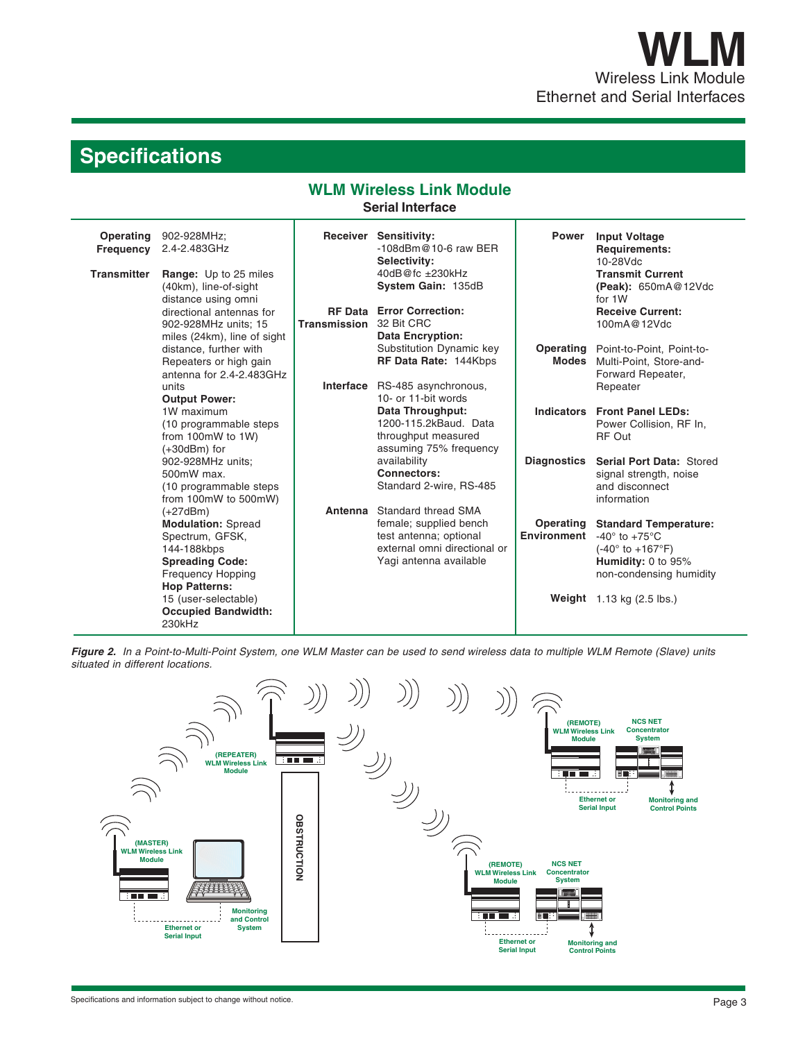# **Specifications**

# **WLM Wireless Link Module**

**Serial Interface**

| Operating<br><b>Frequency</b><br><b>Transmitter</b> | 902-928MHz;<br>2.4-2.483GHz<br><b>Range:</b> Up to 25 miles<br>(40km), line-of-sight<br>distance using omni<br>directional antennas for<br>902-928MHz units: 15<br>miles (24km), line of sight | Transmission | Receiver Sensitivity:<br>$-108$ dBm@10-6 raw BER<br>Selectivity:<br>40dB@fc ±230kHz<br>System Gain: 135dB<br><b>RF Data Error Correction:</b><br>32 Bit CRC<br><b>Data Encryption:</b> | <b>Power</b>                    | <b>Input Voltage</b><br><b>Requirements:</b><br>10-28Vdc<br><b>Transmit Current</b><br>(Peak): 650mA@12Vdc<br>for 1W<br><b>Receive Current:</b><br>100mA@12Vdc                                |
|-----------------------------------------------------|------------------------------------------------------------------------------------------------------------------------------------------------------------------------------------------------|--------------|----------------------------------------------------------------------------------------------------------------------------------------------------------------------------------------|---------------------------------|-----------------------------------------------------------------------------------------------------------------------------------------------------------------------------------------------|
|                                                     | distance, further with<br>Repeaters or high gain<br>antenna for 2.4-2.483GHz<br>units<br><b>Output Power:</b>                                                                                  | Interface    | Substitution Dynamic key<br>RF Data Rate: 144Kbps<br>RS-485 asynchronous,<br>10- or 11-bit words                                                                                       | Operating<br>Modes              | Point-to-Point, Point-to-<br>Multi-Point, Store-and-<br>Forward Repeater,<br>Repeater                                                                                                         |
|                                                     | 1W maximum<br>(10 programmable steps<br>from 100mW to 1W)<br>$(+30dBm)$ for                                                                                                                    |              | Data Throughput:<br>1200-115.2kBaud. Data<br>throughput measured<br>assuming 75% frequency                                                                                             |                                 | Indicators Front Panel LEDs:<br>Power Collision, RF In,<br>RF Out                                                                                                                             |
|                                                     | 902-928MHz units;<br>500mW max.<br>(10 programmable steps<br>from 100mW to 500mW)                                                                                                              |              | availability<br>Connectors:<br>Standard 2-wire, RS-485                                                                                                                                 | <b>Diagnostics</b>              | Serial Port Data: Stored<br>signal strength, noise<br>and disconnect<br>information                                                                                                           |
|                                                     | $(+27dBm)$<br><b>Modulation: Spread</b><br>Spectrum, GFSK,<br>144-188kbps<br><b>Spreading Code:</b><br><b>Frequency Hopping</b><br><b>Hop Patterns:</b><br>15 (user-selectable)                | Antenna      | Standard thread SMA<br>female; supplied bench<br>test antenna; optional<br>external omni directional or<br>Yagi antenna available                                                      | Operating<br><b>Environment</b> | <b>Standard Temperature:</b><br>-40 $\degree$ to +75 $\degree$ C<br>$(-40^{\circ}$ to $+167^{\circ}F)$<br>Humidity: 0 to 95%<br>non-condensing humidity<br><b>Weight</b> $1.13$ kg (2.5 lbs.) |
|                                                     | <b>Occupied Bandwidth:</b><br>230kHz                                                                                                                                                           |              |                                                                                                                                                                                        |                                 |                                                                                                                                                                                               |

**Figure 2.** In a Point-to-Multi-Point System, one WLM Master can be used to send wireless data to multiple WLM Remote (Slave) units situated in different locations.